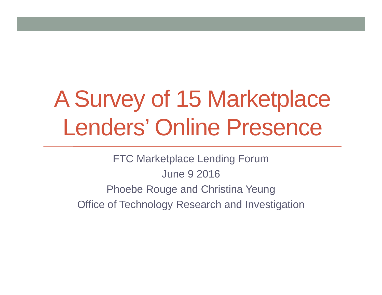# A Survey of 15 Marketplace Lenders' Online Presence

FTC Marketplace Lending Forum June 9 2016Phoebe Rouge and Christina Yeung Office of Technology Research and Investigation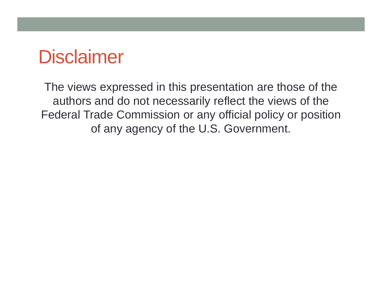#### **Disclaimer**

The views expressed in this presentation are those of the authors and do not necessarily reflect the views of the Federal Trade Commission or any official policy or position of any agency of the U.S. Government.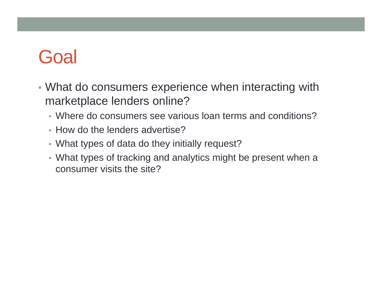### **Goal**

- What do consumers experience when interacting with marketplace lenders online?
	- Where do consumers see various loan terms and conditions?
	- How do the lenders advertise?
	- What types of data do they initially request?
	- What types of tracking and analytics might be present when a consumer visits the site?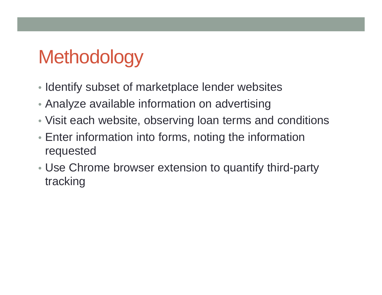## **Methodology**

- Identify subset of marketplace lender websites
- Analyze available information on advertising
- Visit each website, observing loan terms and conditions
- Enter information into forms, noting the information requested
- Use Chrome browser extension to quantify third-party tracking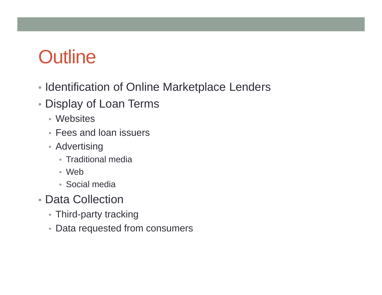### **Outline**

- Identification of Online Marketplace Lenders
- Display of Loan Terms
	- Websites
	- Fees and loan issuers
	- Advertising
		- Traditional media
		- Web
		- Social media
- Data Collection
	- Third-party tracking
	- Data requested from consumers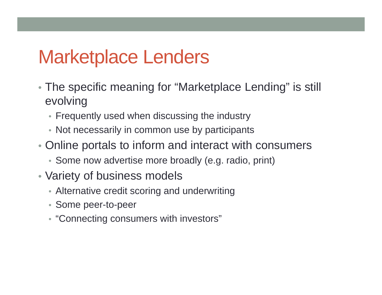#### Marketplace Lenders

- The specific meaning for "Marketplace Lending" is still evolving
	- Frequently used when discussing the industry
	- Not necessarily in common use by participants
- Online portals to inform and interact with consumers
	- Some now advertise more broadly (e.g. radio, print)
- Variety of business models
	- Alternative credit scoring and underwriting
	- Some peer-to-peer
	- "Connecting consumers with investors"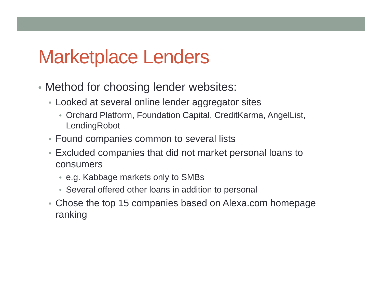#### Marketplace Lenders

- Method for choosing lender websites:
	- Looked at several online lender aggregator sites
		- Orchard Platform, Foundation Capital, CreditKarma, AngelList, **LendingRobot**
	- Found companies common to several lists
	- Excluded companies that did not market personal loans to consumers
		- e.g. Kabbage markets only to SMBs
		- Several offered other loans in addition to personal
	- Chose the top 15 companies based on Alexa.com homepage ranking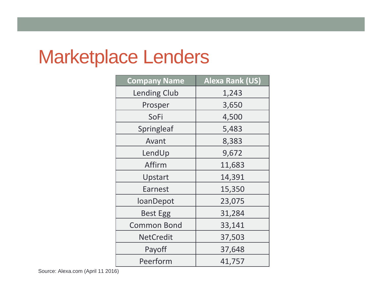### Marketplace Lenders

| <b>Company Name</b> | <b>Alexa Rank (US)</b> |  |  |  |  |
|---------------------|------------------------|--|--|--|--|
| <b>Lending Club</b> | 1,243                  |  |  |  |  |
| Prosper             | 3,650                  |  |  |  |  |
| SoFi                | 4,500                  |  |  |  |  |
| Springleaf          | 5,483                  |  |  |  |  |
| Avant               | 8,383                  |  |  |  |  |
| LendUp              | 9,672                  |  |  |  |  |
| Affirm              | 11,683                 |  |  |  |  |
| Upstart             | 14,391                 |  |  |  |  |
| <b>Earnest</b>      | 15,350                 |  |  |  |  |
| loanDepot           | 23,075                 |  |  |  |  |
| <b>Best Egg</b>     | 31,284                 |  |  |  |  |
| <b>Common Bond</b>  | 33,141                 |  |  |  |  |
| <b>NetCredit</b>    | 37,503                 |  |  |  |  |
| Payoff              | 37,648                 |  |  |  |  |
| Peerform            | 41,757                 |  |  |  |  |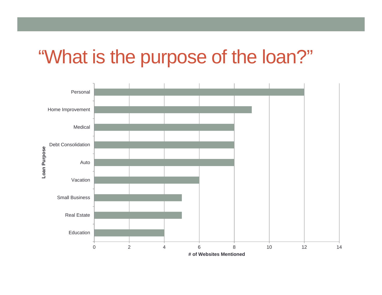#### "What is the purpose of the loan?"

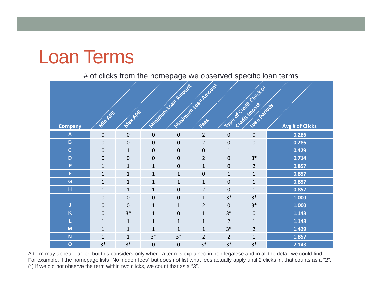#### Loan Terms

#### # of clicks from the homepage we observed specific loan terms

| <b>Company</b>          | Minhae         | <b>Mat APR</b>   |              | Minimum Loan Amount | Maximum loan Amount |                | Type of Credit Check of<br>Loan Periods | Avg # of Clicks |
|-------------------------|----------------|------------------|--------------|---------------------|---------------------|----------------|-----------------------------------------|-----------------|
| $\mathsf{A}$            | $\mathbf 0$    | $\mathbf 0$      | $\mathbf 0$  | $\mathbf 0$         | $\overline{2}$      | $\mathbf 0$    | $\mathbf 0$                             | 0.286           |
| $\mathbf B$             | $\mathbf 0$    | $\mathbf{0}$     | $\mathbf 0$  | $\boldsymbol{0}$    | $\overline{2}$      | $\mathbf 0$    | $\boldsymbol{0}$                        | 0.286           |
| $\mathbf C$             | $\mathbf 0$    | $\mathbf{1}$     | $\mathbf 0$  | $\mathbf 0$         | $\mathbf 0$         | $\mathbf{1}$   | $\mathbf{1}$                            | 0.429           |
| $\mathbf D$             | $\mathbf 0$    | $\mathbf{0}$     | $\mathbf 0$  | $\boldsymbol{0}$    | $\overline{2}$      | $\overline{0}$ | $3*$                                    | 0.714           |
| E                       | $\mathbf{1}$   | $\mathbf{1}$     | $\mathbf{1}$ | $\mathbf 0$         | $\mathbf{1}$        | $\mathbf 0$    | $\overline{2}$                          | 0.857           |
| F                       | $\mathbf{1}$   | $\mathbf{1}$     | $\mathbf{1}$ | $\mathbf{1}$        | $\mathbf 0$         | $\mathbf{1}$   | $\mathbf{1}$                            | 0.857           |
| G                       | $\mathbf{1}$   | $\mathbf{1}$     | $\mathbf{1}$ | $\mathbf{1}$        | $\mathbf{1}$        | $\mathbf 0$    | $\mathbf{1}$                            | 0.857           |
| н                       | $\mathbf{1}$   | $\mathbf{1}$     | $\mathbf{1}$ | $\overline{0}$      | $\overline{2}$      | $\overline{0}$ | $\mathbf{1}$                            | 0.857           |
|                         | $\mathbf 0$    | $\boldsymbol{0}$ | $\mathbf 0$  | $\mathbf 0$         | $\mathbf{1}$        | $3*$           | $3*$                                    | 1.000           |
| J                       | $\mathbf 0$    | $\mathbf 0$      | $\mathbf{1}$ | $\mathbf{1}$        | $\overline{2}$      | $\overline{0}$ | $3*$                                    | 1.000           |
| $\overline{\mathsf{K}}$ | $\overline{0}$ | $3*$             | $\mathbf{1}$ | $\mathbf 0$         | $\mathbf{1}$        | $3*$           | 0                                       | 1.143           |
| L                       | $\mathbf{1}$   | $\mathbf{1}$     | $\mathbf{1}$ | $\mathbf{1}$        | $\mathbf{1}$        | $\overline{2}$ | $\mathbf{1}$                            | 1.143           |
| M                       | $\mathbf{1}$   | $\mathbf{1}$     | $\mathbf{1}$ | $\mathbf{1}$        | $\mathbf{1}$        | $3*$           | $\overline{2}$                          | 1.429           |
| N                       | $\mathbf{1}$   | $\mathbf{1}$     | $3*$         | $3*$                | $\overline{2}$      | $\overline{2}$ | $\mathbf{1}$                            | 1.857           |
| $\overline{O}$          | $3*$           | $3*$             | $\mathbf 0$  | $\mathbf 0$         | $3*$                | $3*$           | $3*$                                    | 2.143           |

A term may appear earlier, but this considers only where a term is explained in non-legalese and in all the detail we could find. For example, if the homepage lists "No hidden fees" but does not list what fees actually apply until 2 clicks in, that counts as a "2". (\*) If we did not observe the term within two clicks, we count that as a "3".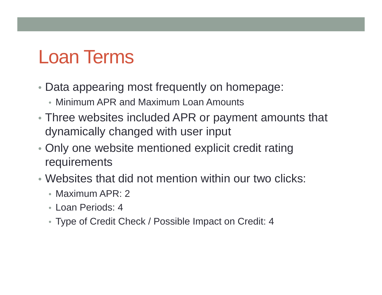#### Loan Terms

- Data appearing most frequently on homepage:
	- Minimum APR and Maximum Loan Amounts
- Three websites included APR or payment amounts that dynamically changed with user input
- Only one website mentioned explicit credit rating requirements
- Websites that did not mention within our two clicks:
	- Maximum APR: 2
	- Loan Periods: 4
	- Type of Credit Check / Possible Impact on Credit: 4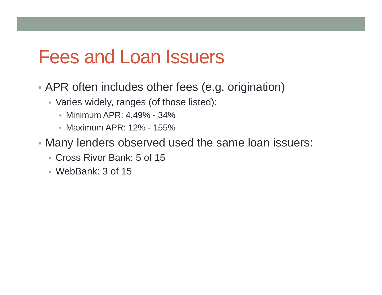#### Fees and Loan Issuers

- APR often includes other fees (e.g. origination)
	- Varies widely, ranges (of those listed):
		- Minimum APR: 4.49% 34%
		- Maximum APR: 12% 155%
- Many lenders observed used the same loan issuers:
	- Cross River Bank: 5 of 15
	- WebBank: 3 of 15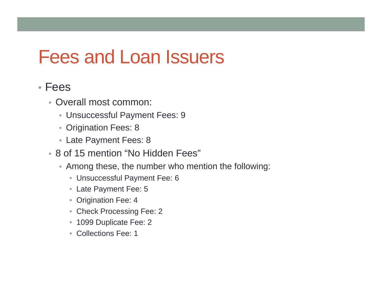#### Fees and Loan Issuers

#### • Fees

- Overall most common:
	- Unsuccessful Payment Fees: 9
	- Origination Fees: 8
	- Late Payment Fees: 8
- 8 of 15 mention "No Hidden Fees"
	- Among these, the number who mention the following:
		- Unsuccessful Payment Fee: 6
		- Late Payment Fee: 5
		- Origination Fee: 4
		- Check Processing Fee: 2
		- 1099 Duplicate Fee: 2
		- Collections Fee: 1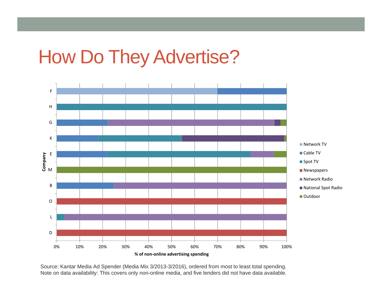#### How Do They Advertise?



Source: Kantar Media Ad Spender (Media Mix 3/2013-3/2016), ordered from most to least total spending. Note on data availability: This covers only non-online media, and five lenders did not have data available.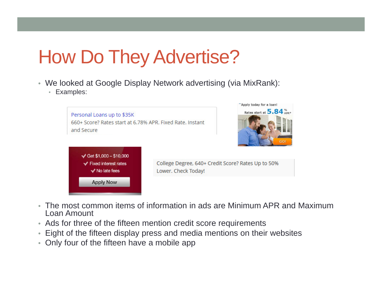### How Do They Advertise?

- We looked at Google Display Network advertising (via MixRank):
	- Examples:



Apply today for a loan!

- The most common items of information in ads are Minimum APR and Maximum Loan Amount
- Ads for three of the fifteen mention credit score requirements
- Eight of the fifteen display press and media mentions on their websites
- Only four of the fifteen have a mobile app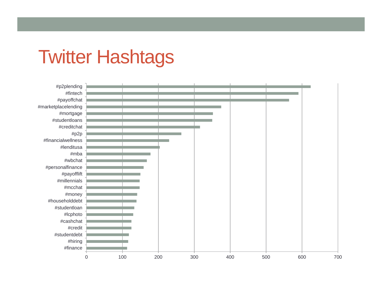#### Twitter Hashtags

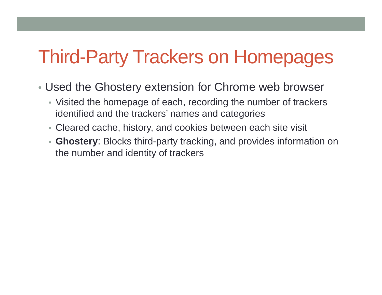#### Third-Party Trackers on Homepages

- Used the Ghostery extension for Chrome web browser
	- Visited the homepage of each, recording the number of trackers identified and the trackers' names and categories
	- Cleared cache, history, and cookies between each site visit
	- **Ghostery**: Blocks third-party tracking, and provides information on the number and identity of trackers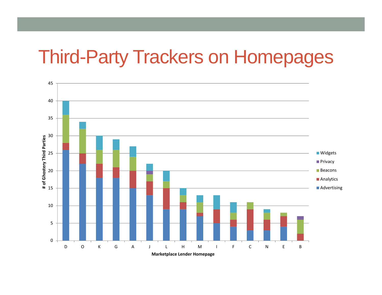#### Third-Party Trackers on Homepages

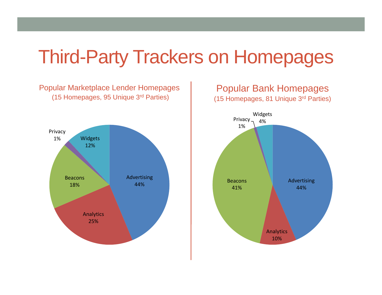#### Third-Party Trackers on Homepages

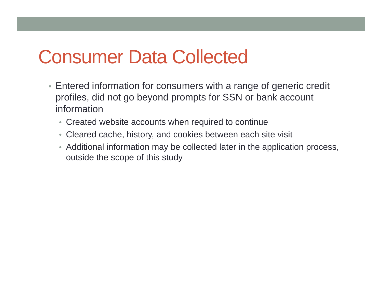#### Consumer Data Collected

- Entered information for consumers with a range of generic credit profiles, did not go beyond prompts for SSN or bank account information
	- Created website accounts when required to continue
	- Cleared cache, history, and cookies between each site visit
	- Additional information may be collected later in the application process, outside the scope of this study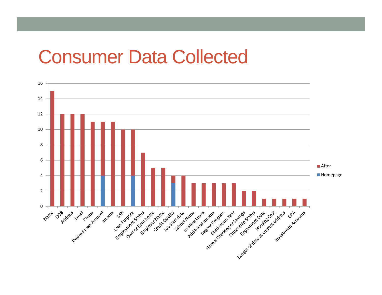#### Consumer Data Collected

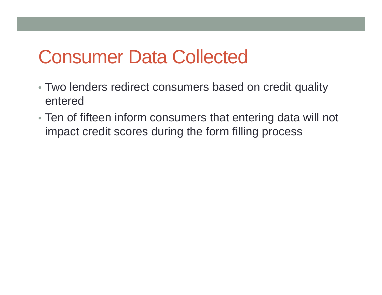#### Consumer Data Collected

- Two lenders redirect consumers based on credit quality entered
- Ten of fifteen inform consumers that entering data will not impact credit scores during the form filling process